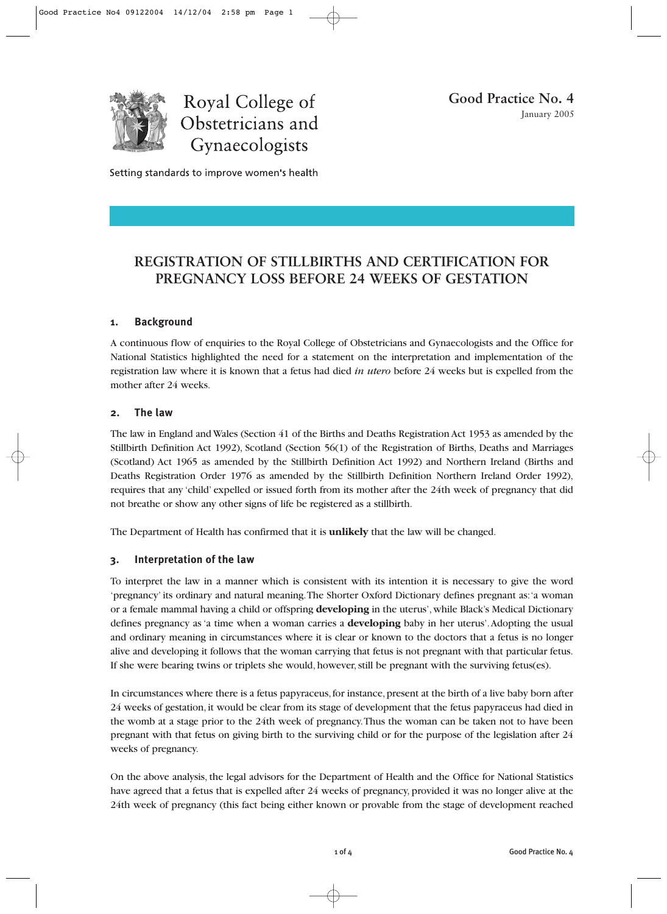

Royal College of Obstetricians and Gynaecologists

Setting standards to improve women's health

# **REGISTRATION OF STILLBIRTHS AND CERTIFICATION FOR PREGNANCY LOSS BEFORE 24 WEEKS OF GESTATION**

# **1. Background**

A continuous flow of enquiries to the Royal College of Obstetricians and Gynaecologists and the Office for National Statistics highlighted the need for a statement on the interpretation and implementation of the registration law where it is known that a fetus had died *in utero* before 24 weeks but is expelled from the mother after 24 weeks.

#### **2. The law**

The law in England and Wales (Section 41 of the Births and Deaths Registration Act 1953 as amended by the Stillbirth Definition Act 1992), Scotland (Section 56(1) of the Registration of Births, Deaths and Marriages (Scotland) Act 1965 as amended by the Stillbirth Definition Act 1992) and Northern Ireland (Births and Deaths Registration Order 1976 as amended by the Stillbirth Definition Northern Ireland Order 1992), requires that any 'child' expelled or issued forth from its mother after the 24th week of pregnancy that did not breathe or show any other signs of life be registered as a stillbirth.

The Department of Health has confirmed that it is **unlikely** that the law will be changed.

#### **3. Interpretation of the law**

To interpret the law in a manner which is consistent with its intention it is necessary to give the word 'pregnancy' its ordinary and natural meaning.The Shorter Oxford Dictionary defines pregnant as:'a woman or a female mammal having a child or offspring **developing** in the uterus', while Black's Medical Dictionary defines pregnancy as 'a time when a woman carries a **developing** baby in her uterus'.Adopting the usual and ordinary meaning in circumstances where it is clear or known to the doctors that a fetus is no longer alive and developing it follows that the woman carrying that fetus is not pregnant with that particular fetus. If she were bearing twins or triplets she would, however, still be pregnant with the surviving fetus(es).

In circumstances where there is a fetus papyraceus, for instance, present at the birth of a live baby born after 24 weeks of gestation, it would be clear from its stage of development that the fetus papyraceus had died in the womb at a stage prior to the 24th week of pregnancy.Thus the woman can be taken not to have been pregnant with that fetus on giving birth to the surviving child or for the purpose of the legislation after 24 weeks of pregnancy.

On the above analysis, the legal advisors for the Department of Health and the Office for National Statistics have agreed that a fetus that is expelled after 24 weeks of pregnancy, provided it was no longer alive at the 24th week of pregnancy (this fact being either known or provable from the stage of development reached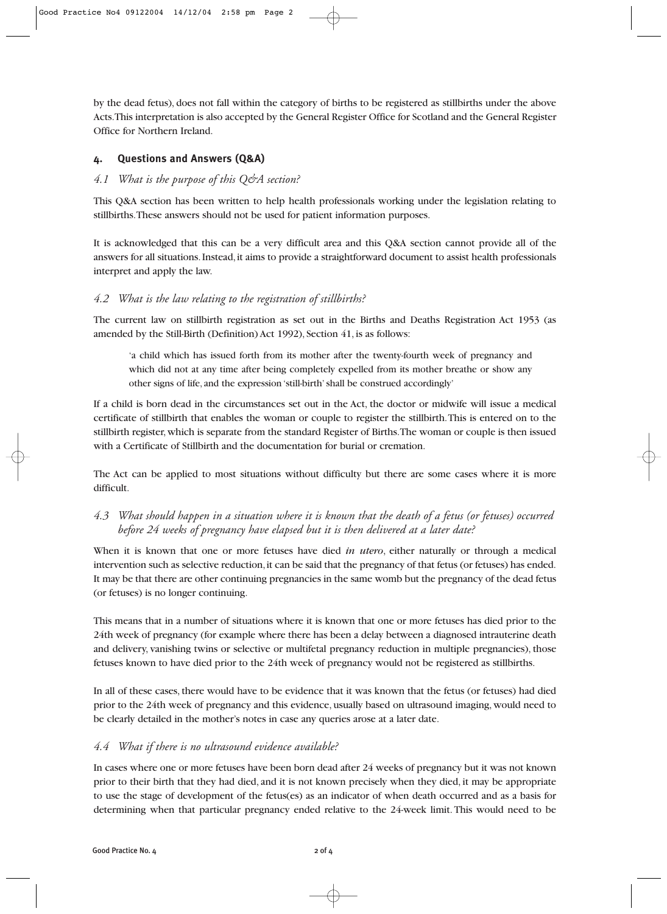by the dead fetus), does not fall within the category of births to be registered as stillbirths under the above Acts.This interpretation is also accepted by the General Register Office for Scotland and the General Register Office for Northern Ireland.

#### **4. Questions and Answers (Q&A)**

### *4.1 What is the purpose of this Q&A section?*

This Q&A section has been written to help health professionals working under the legislation relating to stillbirths.These answers should not be used for patient information purposes.

It is acknowledged that this can be a very difficult area and this Q&A section cannot provide all of the answers for all situations.Instead,it aims to provide a straightforward document to assist health professionals interpret and apply the law.

# *4.2 What is the law relating to the registration of stillbirths?*

The current law on stillbirth registration as set out in the Births and Deaths Registration Act 1953 (as amended by the Still-Birth (Definition) Act 1992), Section 41, is as follows:

'a child which has issued forth from its mother after the twenty-fourth week of pregnancy and which did not at any time after being completely expelled from its mother breathe or show any other signs of life, and the expression 'still-birth' shall be construed accordingly'

If a child is born dead in the circumstances set out in the Act, the doctor or midwife will issue a medical certificate of stillbirth that enables the woman or couple to register the stillbirth.This is entered on to the stillbirth register, which is separate from the standard Register of Births.The woman or couple is then issued with a Certificate of Stillbirth and the documentation for burial or cremation.

The Act can be applied to most situations without difficulty but there are some cases where it is more difficult.

# *4.3 What should happen in a situation where it is known that the death of a fetus (or fetuses) occurred before 24 weeks of pregnancy have elapsed but it is then delivered at a later date?*

When it is known that one or more fetuses have died *in utero*, either naturally or through a medical intervention such as selective reduction,it can be said that the pregnancy of that fetus (or fetuses) has ended. It may be that there are other continuing pregnancies in the same womb but the pregnancy of the dead fetus (or fetuses) is no longer continuing.

This means that in a number of situations where it is known that one or more fetuses has died prior to the 24th week of pregnancy (for example where there has been a delay between a diagnosed intrauterine death and delivery, vanishing twins or selective or multifetal pregnancy reduction in multiple pregnancies), those fetuses known to have died prior to the 24th week of pregnancy would not be registered as stillbirths.

In all of these cases, there would have to be evidence that it was known that the fetus (or fetuses) had died prior to the 24th week of pregnancy and this evidence, usually based on ultrasound imaging, would need to be clearly detailed in the mother's notes in case any queries arose at a later date.

#### *4.4 What if there is no ultrasound evidence available?*

In cases where one or more fetuses have been born dead after 24 weeks of pregnancy but it was not known prior to their birth that they had died, and it is not known precisely when they died, it may be appropriate to use the stage of development of the fetus(es) as an indicator of when death occurred and as a basis for determining when that particular pregnancy ended relative to the 24-week limit. This would need to be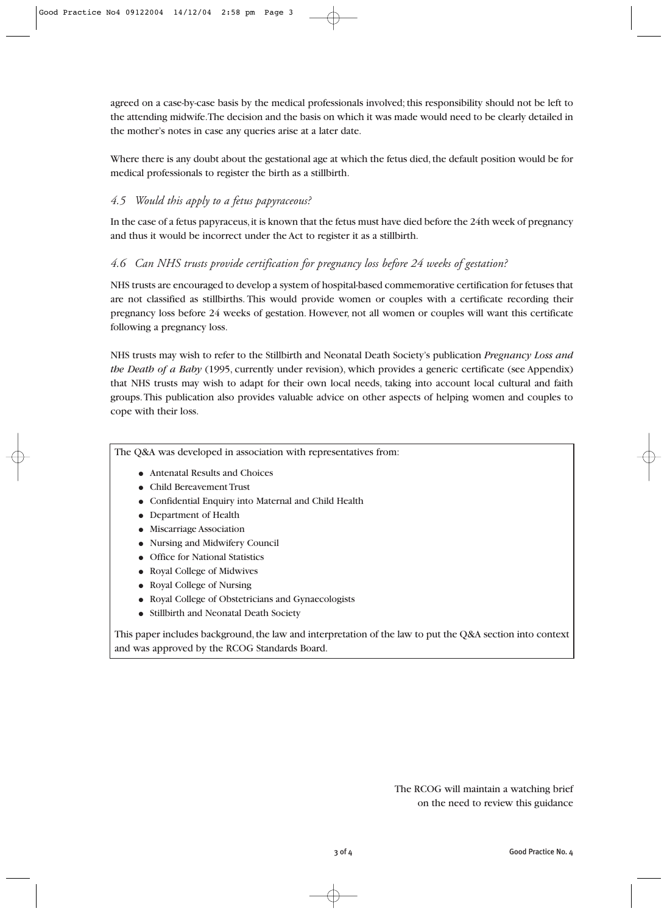agreed on a case-by-case basis by the medical professionals involved; this responsibility should not be left to the attending midwife.The decision and the basis on which it was made would need to be clearly detailed in the mother's notes in case any queries arise at a later date.

Where there is any doubt about the gestational age at which the fetus died, the default position would be for medical professionals to register the birth as a stillbirth.

# *4.5 Would this apply to a fetus papyraceous?*

In the case of a fetus papyraceus, it is known that the fetus must have died before the 24th week of pregnancy and thus it would be incorrect under the Act to register it as a stillbirth.

# *4.6 Can NHS trusts provide certification for pregnancy loss before 24 weeks of gestation?*

NHS trusts are encouraged to develop a system of hospital-based commemorative certification for fetuses that are not classified as stillbirths. This would provide women or couples with a certificate recording their pregnancy loss before 24 weeks of gestation. However, not all women or couples will want this certificate following a pregnancy loss.

NHS trusts may wish to refer to the Stillbirth and Neonatal Death Society's publication *Pregnancy Loss and the Death of a Baby* (1995, currently under revision), which provides a generic certificate (see Appendix) that NHS trusts may wish to adapt for their own local needs, taking into account local cultural and faith groups.This publication also provides valuable advice on other aspects of helping women and couples to cope with their loss.

The Q&A was developed in association with representatives from:

- Antenatal Results and Choices
- Child Bereavement Trust
- Confidential Enquiry into Maternal and Child Health
- Department of Health
- Miscarriage Association
- Nursing and Midwifery Council
- Office for National Statistics
- Royal College of Midwives
- Royal College of Nursing
- Royal College of Obstetricians and Gynaecologists
- Stillbirth and Neonatal Death Society

This paper includes background, the law and interpretation of the law to put the Q&A section into context and was approved by the RCOG Standards Board.

> The RCOG will maintain a watching brief on the need to review this guidance